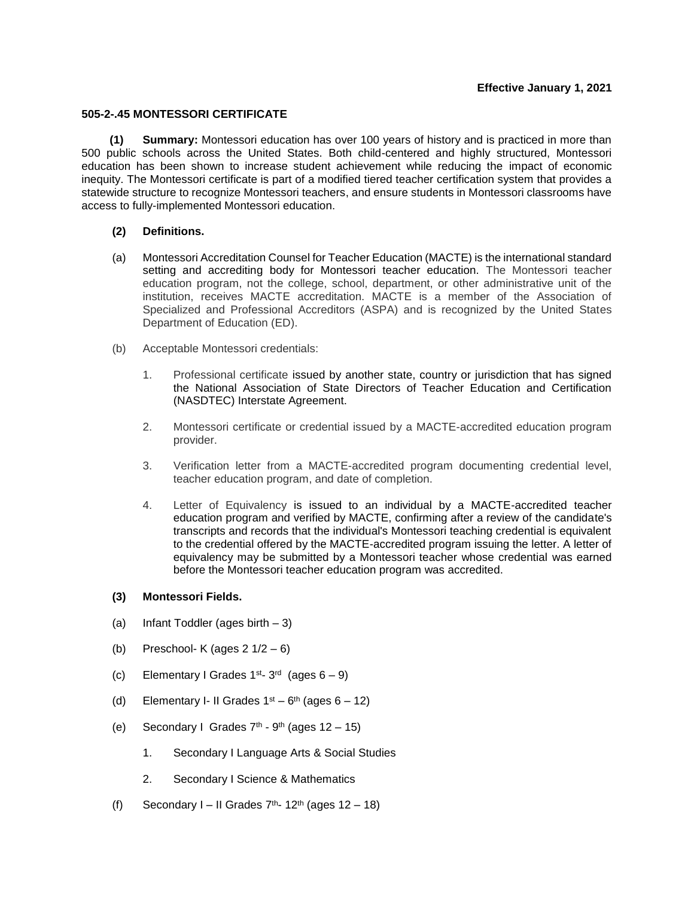### **505-2-.45 MONTESSORI CERTIFICATE**

 **(1) Summary:** Montessori education has over 100 years of history and is practiced in more than 500 public schools across the United States. Both child-centered and highly structured, Montessori education has been shown to increase student achievement while reducing the impact of economic inequity. The Montessori certificate is part of a modified tiered teacher certification system that provides a statewide structure to recognize Montessori teachers, and ensure students in Montessori classrooms have access to fully-implemented Montessori education.

## **(2) Definitions.**

- (a) Montessori Accreditation Counsel for Teacher Education (MACTE) is the international standard setting and accrediting body for Montessori teacher education. The Montessori teacher education program, not the college, school, department, or other administrative unit of the institution, receives MACTE accreditation. MACTE is a member of the Association of Specialized and Professional Accreditors (ASPA) and is recognized by the United States Department of Education (ED).
- (b) Acceptable Montessori credentials:
	- 1. Professional certificate issued by another state, country or jurisdiction that has signed the National Association of State Directors of Teacher Education and Certification (NASDTEC) Interstate Agreement.
	- 2. Montessori certificate or credential issued by a MACTE-accredited education program provider.
	- 3. Verification letter from a MACTE-accredited program documenting credential level, teacher education program, and date of completion.
	- 4. Letter of Equivalency is issued to an individual by a MACTE-accredited teacher education program and verified by MACTE, confirming after a review of the candidate's transcripts and records that the individual's Montessori teaching credential is equivalent to the credential offered by the MACTE-accredited program issuing the letter. A letter of equivalency may be submitted by a Montessori teacher whose credential was earned before the Montessori teacher education program was accredited.

## **(3) Montessori Fields.**

- (a) Infant Toddler (ages birth 3)
- (b) Preschool- K (ages  $2 \frac{1}{2} 6$ )
- (c) Elementary I Grades  $1^{st}$   $3^{rd}$  (ages  $6 9$ )
- (d) Elementary I- II Grades  $1<sup>st</sup> 6<sup>th</sup>$  (ages  $6 12$ )
- (e) Secondary I Grades  $7<sup>th</sup>$  9<sup>th</sup> (ages  $12-15$ )
	- 1. Secondary I Language Arts & Social Studies
	- 2. Secondary I Science & Mathematics
- (f) Secondary I II Grades  $7<sup>th</sup>$  12<sup>th</sup> (ages 12 18)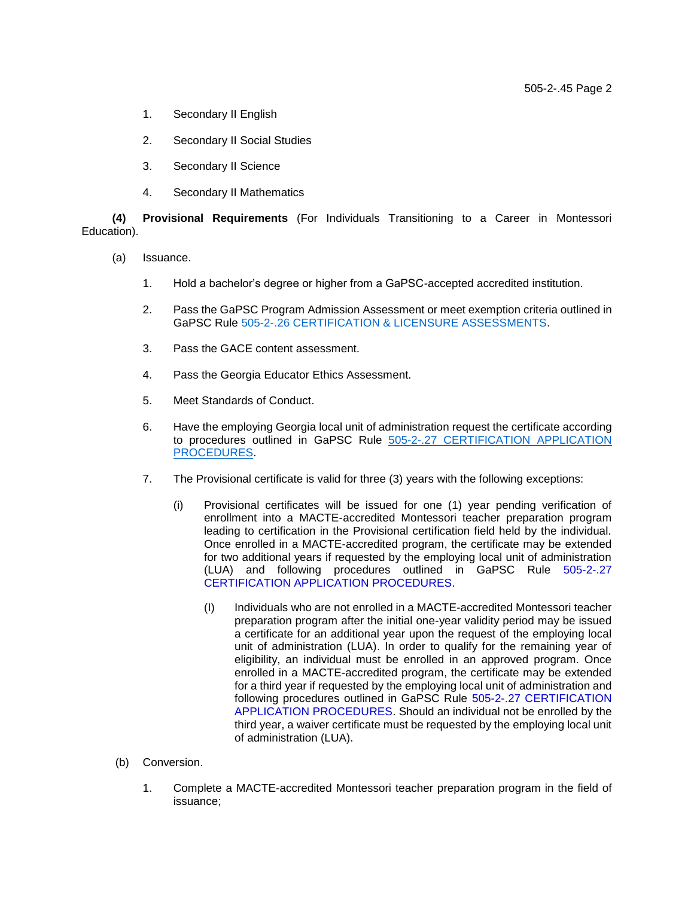- 1. Secondary II English
- 2. Secondary II Social Studies
- 3. Secondary II Science
- 4. Secondary II Mathematics

**(4) Provisional Requirements** (For Individuals Transitioning to a Career in Montessori Education).

- (a) Issuance.
	- 1. Hold a bachelor's degree or higher from a GaPSC-accepted accredited institution.
	- 2. Pass the GaPSC Program Admission Assessment or meet exemption criteria outlined in GaPSC Rule 505-2-.26 CERTIFICATION & LICENSURE ASSESSMENTS.
	- 3. Pass the GACE content assessment.
	- 4. Pass the Georgia Educator Ethics Assessment.
	- 5. Meet Standards of Conduct.
	- 6. Have the employing Georgia local unit of administration request the certificate according to procedures outlined in GaPSC Rule [505-2-.27 CERTIFICATION APPLICATION](http://www.gapsc.com/Rules/Current/Certification/505-2-.27.pdf)  [PROCEDURES.](http://www.gapsc.com/Rules/Current/Certification/505-2-.27.pdf)
	- 7. The Provisional certificate is valid for three (3) years with the following exceptions:
		- (i) Provisional certificates will be issued for one (1) year pending verification of enrollment into a MACTE-accredited Montessori teacher preparation program leading to certification in the Provisional certification field held by the individual. Once enrolled in a MACTE-accredited program, the certificate may be extended for two additional years if requested by the employing local unit of administration (LUA) and following procedures outlined in GaPSC Rule [505-2-.27](http://www.gapsc.com/Rules/Current/Certification/505-2-.27.pdf?dt=636232908931827398)  [CERTIFICATION APPLICATION PROCEDURES.](http://www.gapsc.com/Rules/Current/Certification/505-2-.27.pdf?dt=636232908931827398)
			- (I) Individuals who are not enrolled in a MACTE-accredited Montessori teacher preparation program after the initial one-year validity period may be issued a certificate for an additional year upon the request of the employing local unit of administration (LUA). In order to qualify for the remaining year of eligibility, an individual must be enrolled in an approved program. Once enrolled in a MACTE-accredited program, the certificate may be extended for a third year if requested by the employing local unit of administration and following procedures outlined in GaPSC Rule [505-2-.27 CERTIFICATION](http://www.gapsc.com/Rules/Current/Certification/505-2-.27.pdf?dt=636232908931827398)  [APPLICATION PROCEDURES.](http://www.gapsc.com/Rules/Current/Certification/505-2-.27.pdf?dt=636232908931827398) Should an individual not be enrolled by the third year, a waiver certificate must be requested by the employing local unit of administration (LUA).
- (b) Conversion.
	- 1. Complete a MACTE-accredited Montessori teacher preparation program in the field of issuance;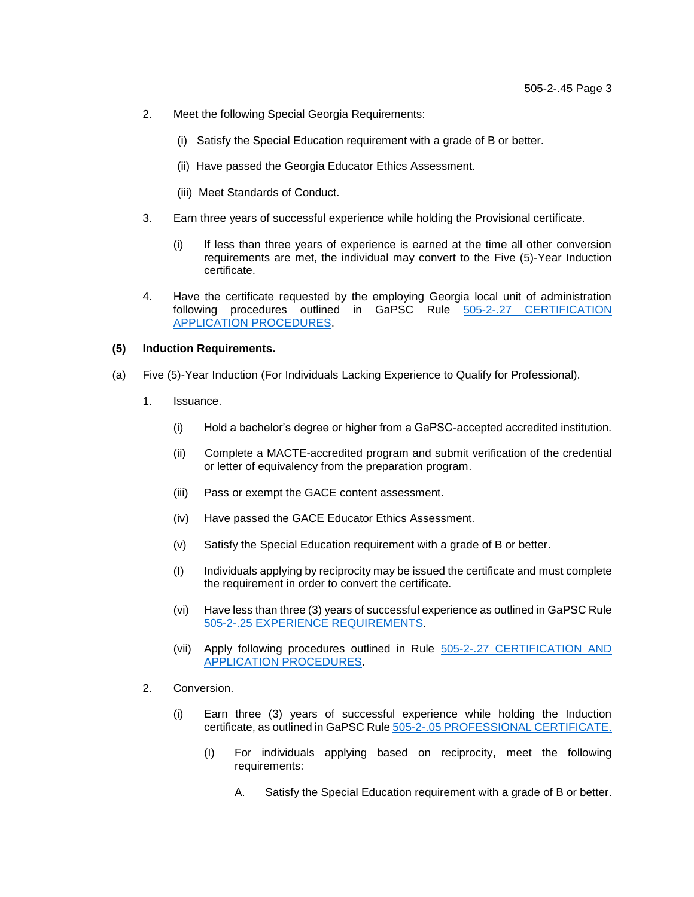- 2. Meet the following Special Georgia Requirements:
	- (i) Satisfy the Special Education requirement with a grade of B or better.
	- (ii) Have passed the Georgia Educator Ethics Assessment.
	- (iii) Meet Standards of Conduct.
- 3. Earn three years of successful experience while holding the Provisional certificate.
	- (i) If less than three years of experience is earned at the time all other conversion requirements are met, the individual may convert to the Five (5)-Year Induction certificate.
- 4. Have the certificate requested by the employing Georgia local unit of administration following procedures outlined in GaPSC Rule 505-2-.27 CERTIFICATION [APPLICATION PROCEDURES.](http://www.gapsc.com/Rules/Current/Certification/505-2-.27.pdf)

#### **(5) Induction Requirements.**

- (a) Five (5)-Year Induction (For Individuals Lacking Experience to Qualify for Professional).
	- 1. Issuance.
		- (i) Hold a bachelor's degree or higher from a GaPSC-accepted accredited institution.
		- (ii) Complete a MACTE-accredited program and submit verification of the credential or letter of equivalency from the preparation program.
		- (iii) Pass or exempt the GACE content assessment.
		- (iv) Have passed the GACE Educator Ethics Assessment.
		- (v) Satisfy the Special Education requirement with a grade of B or better.
		- (I) Individuals applying by reciprocity may be issued the certificate and must complete the requirement in order to convert the certificate.
		- (vi) Have less than three (3) years of successful experience as outlined in GaPSC Rule 505-2-.25 [EXPERIENCE REQUIREMENTS.](http://www.gapsc.com/Rules/Current/Certification/505-2-.25.pdf)
		- (vii) Apply following procedures outlined in Rule [505-2-.27 CERTIFICATION AND](file://///darla/everyone/Rules%20Committee/Rules_Working%20Folders/2020.07_Final%20to%20Commission/2020.07_Certification%20Rules_ADOPT/505-2-.27%20CERTIFICATION%20APPLICATION%20PROCEDURES)  [APPLICATION PROCEDURES.](file://///darla/everyone/Rules%20Committee/Rules_Working%20Folders/2020.07_Final%20to%20Commission/2020.07_Certification%20Rules_ADOPT/505-2-.27%20CERTIFICATION%20APPLICATION%20PROCEDURES)
	- 2. Conversion.
		- (i) Earn three (3) years of successful experience while holding the Induction certificate, as outlined in GaPSC Rul[e 505-2-.05 PROFESSIONAL CERTIFICATE.](https://www.gapsc.com/Rules/Current/Certification/505-2-.05.pdf?dt=%3C%25#Eval()
			- (I) For individuals applying based on reciprocity, meet the following requirements:
				- A. Satisfy the Special Education requirement with a grade of B or better.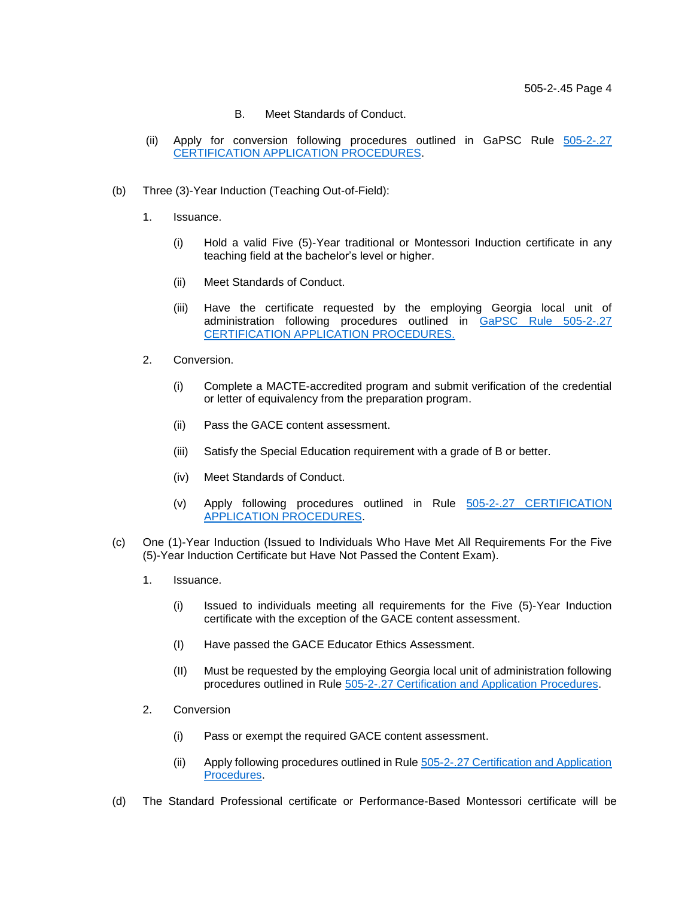- B. Meet Standards of Conduct.
- (ii) Apply for conversion following procedures outlined in GaPSC Rule [505-2-.27](http://www.gapsc.com/Rules/Current/Certification/505-2-.27.pdf)  [CERTIFICATION APPLICATION PROCEDURES.](http://www.gapsc.com/Rules/Current/Certification/505-2-.27.pdf)
- (b) Three (3)-Year Induction (Teaching Out-of-Field):
	- 1. Issuance.
		- (i) Hold a valid Five (5)-Year traditional or Montessori Induction certificate in any teaching field at the bachelor's level or higher.
		- (ii) Meet Standards of Conduct.
		- (iii) Have the certificate requested by the employing Georgia local unit of administration following procedures outlined in [GaPSC Rule 505-2-.27](https://www.gapsc.com/Rules/Current/Certification/505-2-.27.pdf)  [CERTIFICATION APPLICATION PROCEDURES.](https://www.gapsc.com/Rules/Current/Certification/505-2-.27.pdf)
	- 2. Conversion.
		- (i) Complete a MACTE-accredited program and submit verification of the credential or letter of equivalency from the preparation program.
		- (ii) Pass the GACE content assessment.
		- (iii) Satisfy the Special Education requirement with a grade of B or better.
		- (iv) Meet Standards of Conduct.
		- (v) Apply following procedures outlined in Rule [505-2-.27 CERTIFICATION](http://www.gapsc.com/Rules/Current/Certification/505-2-.27.pdf)  [APPLICATION PROCEDURES.](http://www.gapsc.com/Rules/Current/Certification/505-2-.27.pdf)
- (c) One (1)-Year Induction (Issued to Individuals Who Have Met All Requirements For the Five (5)-Year Induction Certificate but Have Not Passed the Content Exam).
	- 1. Issuance.
		- (i) Issued to individuals meeting all requirements for the Five (5)-Year Induction certificate with the exception of the GACE content assessment.
		- (I) Have passed the GACE Educator Ethics Assessment.
		- (II) Must be requested by the employing Georgia local unit of administration following procedures outlined in Rule 505-2-.27 [Certification and Application Procedures.](https://www.gapsc.com/Rules/Current/Certification/505-2-.27.pdf?dt=%3C%25#Eval()
	- 2. Conversion
		- (i) Pass or exempt the required GACE content assessment.
		- (ii) Apply following procedures outlined in Rul[e 505-2-.27 Certification and Application](https://www.gapsc.com/Rules/Current/Certification/505-2-.27.pdf?dt=%3C%25#Eval()  [Procedures.](https://www.gapsc.com/Rules/Current/Certification/505-2-.27.pdf?dt=%3C%25#Eval()
- (d) The Standard Professional certificate or Performance-Based Montessori certificate will be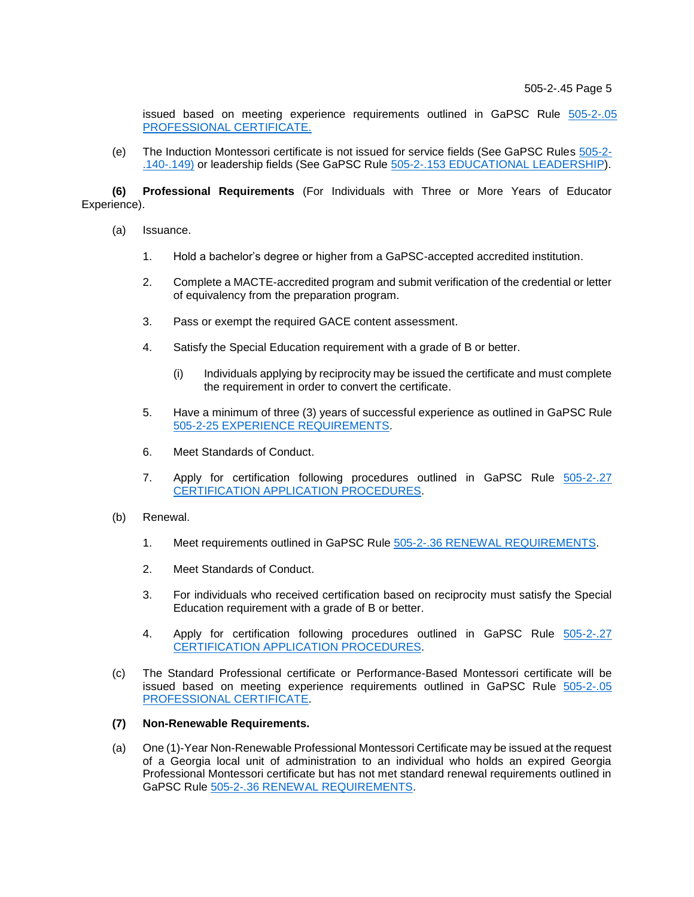issued based on meeting experience requirements outlined in GaPSC Rule [505-2-.05](http://www.gapsc.com/Rules/Current/Certification/505-2-.05.pdf)  [PROFESSIONAL CERTIFICATE.](http://www.gapsc.com/Rules/Current/Certification/505-2-.05.pdf)

(e) The Induction Montessori certificate is not issued for service fields (See GaPSC Rules [505-2-](http://www.gapsc.com/Rules/Current/Certification/505-2-.153.pdf) [.140-.149\)](http://www.gapsc.com/Rules/Current/Certification/505-2-.153.pdf) or leadership fields (See GaPSC Rule [505-2-.153 EDUCATIONAL LEADERSHIP\)](http://www.gapsc.com/Rules/Current/Certification/505-2-.153.pdf).

**(6) Professional Requirements** (For Individuals with Three or More Years of Educator Experience).

- (a) Issuance.
	- 1. Hold a bachelor's degree or higher from a GaPSC-accepted accredited institution.
	- 2. Complete a MACTE-accredited program and submit verification of the credential or letter of equivalency from the preparation program.
	- 3. Pass or exempt the required GACE content assessment.
	- 4. Satisfy the Special Education requirement with a grade of B or better.
		- (i) Individuals applying by reciprocity may be issued the certificate and must complete the requirement in order to convert the certificate.
	- 5. Have a minimum of three (3) years of successful experience as outlined in GaPSC Rule 505-2-25 [EXPERIENCE REQUIREMENTS.](http://www.gapsc.com/Rules/Current/Certification/505-2-.25.pdf)
	- 6. Meet Standards of Conduct.
	- 7. Apply for certification following procedures outlined in GaPSC Rule [505-2-.27](http://www.gapsc.com/Rules/Current/Certification/505-2-.27.pdf)  [CERTIFICATION APPLICATION PROCEDURES.](http://www.gapsc.com/Rules/Current/Certification/505-2-.27.pdf)
- (b) Renewal.
	- 1. Meet requirements outlined in GaPSC Rule [505-2-.36 RENEWAL REQUIREMENTS.](http://www.gapsc.com/Rules/Current/Certification/505-2-.36.pdf)
	- 2. Meet Standards of Conduct.
	- 3. For individuals who received certification based on reciprocity must satisfy the Special Education requirement with a grade of B or better.
	- 4. Apply for certification following procedures outlined in GaPSC Rule [505-2-.27](http://www.gapsc.com/Rules/Current/Certification/505-2-.27.pdf)  [CERTIFICATION APPLICATION PROCEDURES.](http://www.gapsc.com/Rules/Current/Certification/505-2-.27.pdf)
- (c) The Standard Professional certificate or Performance-Based Montessori certificate will be issued based on meeting experience requirements outlined in GaPSC Rule [505-2-.05](http://www.gapsc.com/Rules/Current/Certification/505-2-.05.pdf) [PROFESSIONAL](http://www.gapsc.com/Rules/Current/Certification/505-2-.05.pdf) CERTIFICATE.

## **(7) Non-Renewable Requirements.**

(a) One (1)-Year Non-Renewable Professional Montessori Certificate may be issued at the request of a Georgia local unit of administration to an individual who holds an expired Georgia Professional Montessori certificate but has not met standard renewal requirements outlined in GaPSC Rule [505-2-.36 RENEWAL REQUIREMENTS.](http://www.gapsc.com/Rules/Current/Certification/505-2-.36.pdf)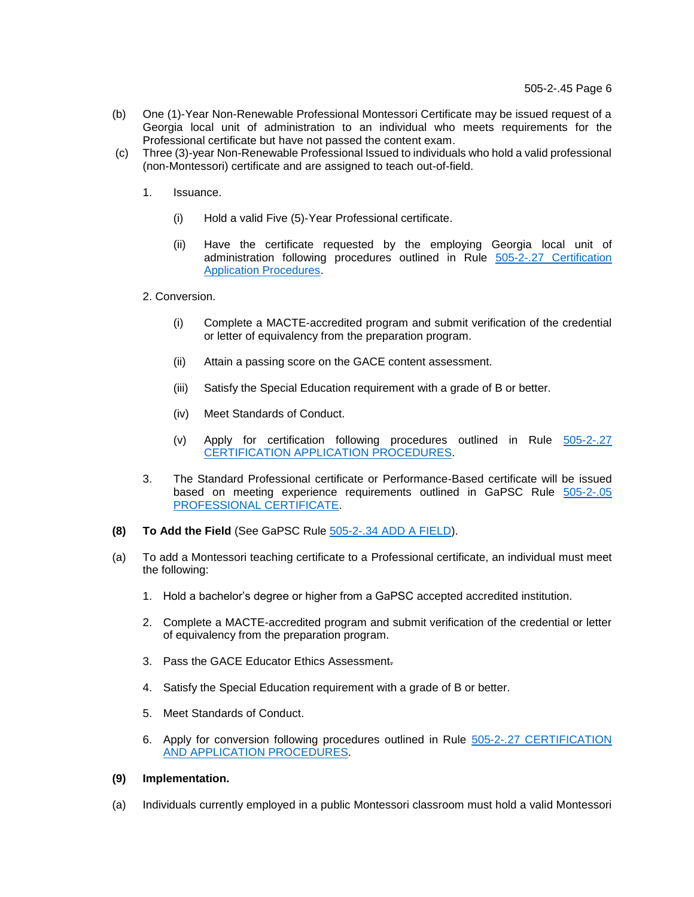- (b) One (1)-Year Non-Renewable Professional Montessori Certificate may be issued request of a Georgia local unit of administration to an individual who meets requirements for the Professional certificate but have not passed the content exam.
- (c) Three (3)-year Non-Renewable Professional Issued to individuals who hold a valid professional (non-Montessori) certificate and are assigned to teach out-of-field.
	- 1. Issuance.
		- (i) Hold a valid Five (5)-Year Professional certificate.
		- (ii) Have the certificate requested by the employing Georgia local unit of administration following procedures outlined in Rule [505-2-.27 Certification](http://www.gapsc.com/Rules/Current/Certification/505-2-.27.pdf)  [Application Procedures.](http://www.gapsc.com/Rules/Current/Certification/505-2-.27.pdf)
	- 2. Conversion.
		- (i) Complete a MACTE-accredited program and submit verification of the credential or letter of equivalency from the preparation program.
		- (ii) Attain a passing score on the GACE content assessment.
		- (iii) Satisfy the Special Education requirement with a grade of B or better.
		- (iv) Meet Standards of Conduct.
		- (v) Apply for certification following procedures outlined in Rule [505-2-.27](http://www.gapsc.com/Rules/Current/Certification/505-2-.27.pdf)  [CERTIFICATION APPLICATION PROCEDURES.](http://www.gapsc.com/Rules/Current/Certification/505-2-.27.pdf)
	- 3. The Standard Professional certificate or Performance-Based certificate will be issued based on meeting experience requirements outlined in GaPSC Rule 505-2-.05 [PROFESSIONAL CERTIFICATE.](http://www.gapsc.com/Rules/Current/Certification/505-2-.05.pdf)
- **(8) To Add the Field** (See GaPSC Rule [505-2-.34 ADD A FIELD\)](http://www.gapsc.com/Rules/Current/Certification/505-2-.34.pdf).
- (a)To add a Montessori teaching certificate to a Professional certificate, an individual must meet the following:
	- 1. Hold a bachelor's degree or higher from a GaPSC accepted accredited institution.
	- 2. Complete a MACTE-accredited program and submit verification of the credential or letter of equivalency from the preparation program.
	- 3. Pass the GACE Educator Ethics Assessment.
	- 4. Satisfy the Special Education requirement with a grade of B or better.
	- 5. Meet Standards of Conduct.
	- 6. Apply for conversion following procedures outlined in Rule [505-2-.27 CERTIFICATION](http://www.gapsc.com/Rules/Current/Certification/505-2-.27.pdf)  [AND APPLICATION PROCEDURES.](http://www.gapsc.com/Rules/Current/Certification/505-2-.27.pdf)

## **(9) Implementation.**

(a) Individuals currently employed in a public Montessori classroom must hold a valid Montessori